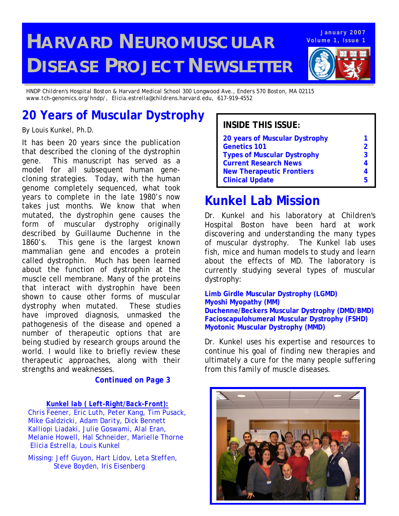# **HARVARD NEUROMUSCULAR DISEASE PROJECT NEWSLETTER**

**Volume 1, Issue 1 January 2007**

*HNDP Children's Hospital Boston & Harvard Medical School 300 Longwood Ave., Enders 570 Boston, MA 02115 www.tch-genomics.org/hndp/, Elicia.estrella@childrens.harvard.edu, 617-919-4552*

## **20 Years of Muscular Dystrophy**

It has been 20 years since the publication that described the cloning of the dystrophin gene. This manuscript has served as a model for all subsequent human genecloning strategies. Today, with the human genome completely sequenced, what took years to complete in the late 1980's now takes just months. We know that when mutated, the dystrophin gene causes the form of muscular dystrophy originally described by Guillaume Duchenne in the 1860's. This gene is the largest known mammalian gene and encodes a protein called dystrophin. Much has been learned about the function of dystrophin at the muscle cell membrane. Many of the proteins that interact with dystrophin have been shown to cause other forms of muscular dystrophy when mutated. These studies have improved diagnosis, unmasked the pathogenesis of the disease and opened a number of therapeutic options that are being studied by research groups around the world. I would like to briefly review these therapeutic approaches, along with their strengths and weaknesses.

#### *Continued on Page 3*

*Kunkel lab ( Left-Right/Back-Front):*

*Chris Feener, Eric Luth, Peter Kang, Tim Pusack, Mike Galdzicki, Adam Darity, Dick Bennett Kalliopi Liadaki, Julie Goswami, Alal Eran, Melanie Howell, Hal Schneider, Marielle Thorne Elicia Estrella, Louis Kunkel* 

*Missing: Jeff Guyon, Hart Lidov, Leta Steffen, Steve Boyden, Iris Eisenberg* 

### By Louis Kunkel, Ph.D. **Install Ph.D. INSIDE THIS ISSUE:**

| 20 years of Muscular Dystrophy     |   |
|------------------------------------|---|
| <b>Genetics 101</b>                | 2 |
| <b>Types of Muscular Dystrophy</b> | 3 |
| <b>Current Research News</b>       |   |
| <b>New Therapeutic Frontiers</b>   |   |
| <b>Clinical Update</b>             | h |

## **Kunkel Lab Mission**

Dr. Kunkel and his laboratory at Children's Hospital Boston have been hard at work discovering and understanding the many types of muscular dystrophy. The Kunkel lab uses fish, mice and human models to study and learn about the effects of MD. The laboratory is currently studying several types of muscular dystrophy:

#### **Limb Girdle Muscular Dystrophy (LGMD) Myoshi Myopathy (MM) Duchenne/Beckers Muscular Dystrophy (DMD/BMD) Facioscapulohumeral Muscular Dystrophy (FSHD) Myotonic Muscular Dystrophy (MMD)**

Dr. Kunkel uses his expertise and resources to continue his goal of finding new therapies and ultimately a cure for the many people suffering from this family of muscle diseases.

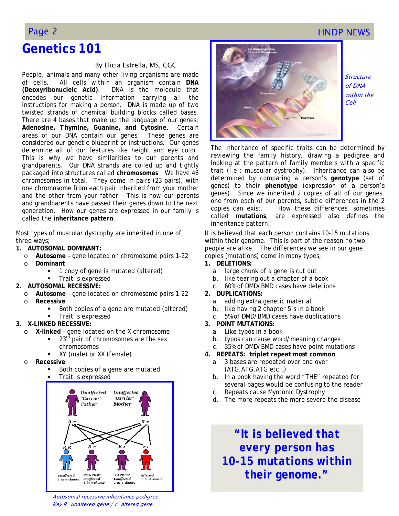### Page 2 **HNDP NEWS**

### **Genetics 101**

#### By Elicia Estrella, MS, CGC

People, animals and many other living organisms are made of cells. All cells within an organism contain **DNA (***D***eoxyribo***n***ucleic** *A***cid)**. DNA is the molecule that encodes our genetic information carrying all the instructions for making a person. DNA is made up of two twisted strands of chemical building blocks called bases. There are 4 bases that make up the language of our genes: *A***denosine,** *T***hymine,** *G***uanine, and** *C***ytosine**. Certain areas of our DNA contain our genes. These genes are considered our genetic blueprint or instructions. Our genes determine all of our features like height and eye color. This is why we have similarities to our parents and grandparents. Our DNA strands are coiled up and tightly packaged into structures called **chromosomes**. We have 46 chromosomes in total. They come in pairs (23 pairs), with one chromosome from each pair inherited from your mother and the other from your father. This is how our parents and grandparents have passed their genes down to the next generation. How our genes are expressed in our family is called the **inheritance pattern**.

Most types of muscular dystrophy are inherited in one of three ways;

- **1. AUTOSOMAL DOMINANT:**
- o **Autosome**  gene located on chromosome pairs 1-22
	- o **Dominant** 
		- 1 copy of gene is mutated (altered)
	- Trait is expressed

#### **2. AUTOSOMAL RECESSIVE:**

- o **Autosome**  gene located on chromosome pairs 1-22 o **Recessive** 
	- Both copies of a gene are mutated (altered)
	- Trait is expressed

#### **3. X-LINKED RECESSIVE:**

- o **X-linked**  gene located on the X chromosome
	- 23<sup>rd</sup> pair of chromosomes are the sex chromosomes
		- XY (male) or XX (female)
- o **Recessive** 
	- Both copies of a gene are mutated
	- Trait is expressed







Structure of DNA within the Cell

The inheritance of specific traits can be determined by reviewing the family history, drawing a pedigree and looking at the pattern of family members with a specific trait (i.e.: muscular dystrophy). Inheritance can also be determined by comparing a person's **genotype** (set of genes) to their **phenotype** (expression of a person's genes). Since we inherited 2 copies of all of our genes, one from each of our parents, subtle differences in the 2 copies can exist. How these differences, sometimes called **mutations**, are expressed also defines the inheritance pattern.

It is believed that each person contains 10-15 mutations within their genome. This is part of the reason no two people are alike. The differences we see in our gene copies (mutations) come in many types;

- **1. DELETIONS:** 
	- a. large chunk of a gene is cut out
	- b. like tearing out a chapter of a book
	- c. 60% of DMD/BMD cases have deletions
- **2. DUPLICATIONS:** 
	- a. adding extra genetic material
	- b. like having 2 chapter 5's in a book
	- c. 5% of DMD/BMD cases have duplications
- **3. POINT MUTATIONS:** 
	- a. Like typos in a book
	- b. typos can cause word/meaning changes
	- c. 35% of DMD/BMD cases have point mutations
- **4. REPEATS: triplet repeat most common**
	- a. 3 bases are repeated over and over (ATG,ATG,ATG etc…)
	- b. In a book having the word "*THE*" repeated for several pages would be confusing to the reader
	- c. Repeats cause Myotonic Dystrophy
	- d. The more repeats the more severe the disease

*"It is believed that every person has 10-15 mutations within their genome."*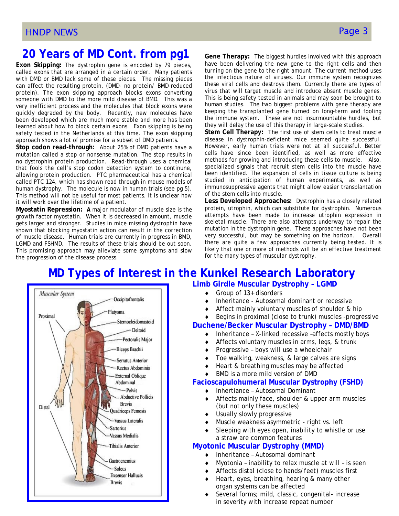### **20 Years of MD Cont. from pg1**

**Exon Skipping:** The dystrophin gene is encoded by 79 pieces, called exons that are arranged in a certain order. Many patients with DMD or BMD lack some of these pieces. The missing pieces can affect the resulting protein, (DMD- no protein/ BMD-reduced protein). The exon skipping approach blocks exons converting someone with DMD to the more mild disease of BMD. This was a very inefficient process and the molecules that block exons were quickly degraded by the body. Recently, new molecules have been developed which are much more stable and more has been learned about how to block certain exons. Exon skipping is being safety tested in the Netherlands at this time. The exon skipping approach shows a lot of promise for a subset of DMD patients.

**Stop codon read-through:** About 25% of DMD patients have a mutation called a stop or nonsense mutation. The stop results in no dystrophin protein production. Read-through uses a chemical that fools the cell's stop codon detection system to continune, allowing protein production. PTC pharmaceutical has a chemical called PTC 124, which has shown read through in mouse models of human dystrophy. The molecule is now in human trials (see pg 5). This method will not be useful for most patients. It is unclear how it will work over the lifetime of a patient.

**Myostatin Repression: A** major modulator of muscle size is the growth factor myostatin. When it is decreased in amount, muscle gets larger and stronger. Studies in mice missing dystrophin have shown that blocking myostatin action can result in the correction of muscle disease. Human trials are currently in progress in BMD, LGMD and FSHMD. The results of these trials should be out soon. This promising approach may alleviate some symptoms and slow the progression of the disease process.

**Gene Therapy:** The biggest hurdles involved with this approach have been delivering the new gene to the right cells and then turning on the gene to the right amount. The current method uses the infectious nature of viruses. Our immune system recognizes these viral cells and destroys them. Currently there are types of virus that will target muscle and introduce absent muscle genes. This is being safety tested in animals and may soon be brought to human studies. The two biggest problems with gene therapy are keeping the transplanted gene turned on long-term and fooling the immune system. These are not insurmountable hurdles, but they will delay the use of this therapy in large-scale studies.

**Stem Cell Therapy:** The first use of stem cells to treat muscle disease in dystrophin-deficient mice seemed quite successful. However, early human trials were not at all successful. Better cells have since been identified, as well as more effective methods for growing and introducing these cells to muscle. Also, specialized signals that recruit stem cells into the muscle have been identified. The expansion of cells in tissue culture is being studied in anticipation of human experiments, as well as immunosuppressive agents that might allow easier transplantation of the stem cells into muscle.

**Less Developed Approaches:** Dystrophin has a closely related protein, utrophin, which can substitute for dystrophin. Numerous attempts have been made to increase utrophin expression in skeletal muscle. There are also attempts underway to repair the mutation in the dystrophin gene. These approaches have not been very successful, but may be something on the horizon. Overall there are quite a few approaches currently being tested. It is likely that one or more of methods will be an effective treatment for the many types of muscular dystrophy.

### **MD Types of Interest in the Kunkel Research Laboratory**



**Limb Girdle Muscular Dystrophy – LGMD** 

- $\triangleleft$  Group of 13+ disorders
- Inheritance Autosomal dominant or recessive
- Affect mainly voluntary muscles of shoulder & hip
- Begins in proximal (close to trunk) muscles -progressive

#### **Duchene/Becker Muscular Dystrophy – DMD/BMD**

- ♦ Inheritance X-linked recessive –affects mostly boys
- Affects voluntary muscles in arms, legs, & trunk
- Progressive boys will use a wheelchair
- Toe walking, weakness, & large calves are signs
- Heart & breathing muscles may be affected
- BMD is a more mild version of DMD

#### **Facioscapulohumeral Muscular Dystrophy (FSHD)**

- ♦ Inhertiance Autosomal Dominant
- Affects mainly face, shoulder & upper arm muscles (but not only these muscles)
- Usually slowly progressive
- Muscle weakness asymmetric right vs. left
- Sleeping with eyes open, inability to whistle or use a straw are common features

#### **Myotonic Muscular Dystrophy (MMD)**

- Inheritance Autosomal dominant
- Myotonia inability to relax muscle at will is seen
- Affects distal (close to hands/feet) muscles first
- Heart, eyes, breathing, hearing & many other organ systems can be affected
- Several forms; mild, classic, congenital- increase in severity with increase repeat number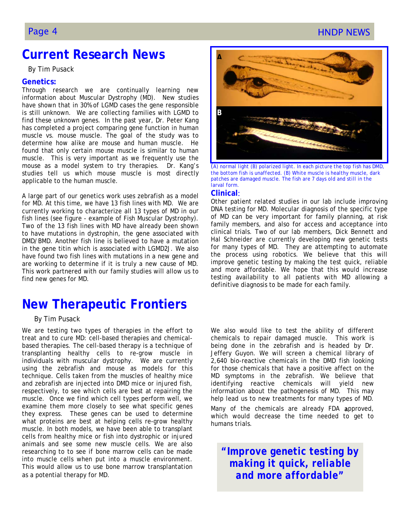### Page 4 **HNDP NEWS Page 4**

### **Current Research News**

By Tim Pusack

#### **Genetics:**

Through research we are continually learning new information about Muscular Dystrophy (MD). New studies have shown that in 30% of LGMD cases the gene responsible is still unknown. We are collecting families with LGMD to find these unknown genes. In the past year, Dr. Peter Kang has completed a project comparing gene function in human muscle vs. mouse muscle. The goal of the study was to determine how alike are mouse and human muscle. He found that only certain mouse muscle is similar to human muscle. This is very important as we frequently use the mouse as a model system to try therapies. Dr. Kang's studies tell us which mouse muscle is most directly applicable to the human muscle.

A large part of our genetics work uses zebrafish as a model for MD. At this time, we have 13 fish lines with MD. We are currently working to characterize all 13 types of MD in our fish lines (see figure - example of Fish Muscular Dystrophy). Two of the 13 fish lines with MD have already been shown to have mutations in dystrophin, the gene associated with DMD/BMD. Another fish line is believed to have a mutation in the gene titin which is associated with LGMD2J. We also have found two fish lines with mutations in a new gene and are working to determine if it is truly a new cause of MD. This work partnered with our family studies will allow us to find new genes for MD.

### **New Therapeutic Frontiers**

#### By Tim Pusack

We are testing two types of therapies in the effort to treat and to cure MD: cell-based therapies and chemicalbased therapies. The cell-based therapy is a technique of transplanting healthy cells to re-grow muscle in individuals with muscular dystrophy. We are currently using the zebrafish and mouse as models for this technique. Cells taken from the muscles of healthy mice and zebrafish are injected into DMD mice or injured fish, respectively, to see which cells are best at repairing the muscle. Once we find which cell types perform well, we examine them more closely to see what specific genes they express. These genes can be used to determine what proteins are best at helping cells re-grow healthy muscle. In both models, we have been able to transplant cells from healthy mice or fish into dystrophic or injured animals and see some new muscle cells. We are also researching to to see if bone marrow cells can be made into muscle cells when put into a muscle environment. This would allow us to use bone marrow transplantation as a potential therapy for MD.



(*A) normal light (B) polarized light. In each picture the top fish has DMD, the bottom fish is unaffected. (B) White muscle is healthy muscle, dark patches are damaged muscle. The fish are 7 days old and still in the larval form.*

#### **Clinical**:

Other patient related studies in our lab include improving DNA testing for MD. Molecular diagnosis of the specific type of MD can be very important for family planning, at risk family members, and also for access and acceptance into clinical trials. Two of our lab members, Dick Bennett and Hal Schneider are currently developing new genetic tests for many types of MD. They are attempting to automate the process using robotics. We believe that this will improve genetic testing by making the test quick, reliable and more affordable. We hope that this would increase testing availability to all patients with MD allowing a definitive diagnosis to be made for each family.

We also would like to test the ability of different chemicals to repair damaged muscle. This work is being done in the zebrafish and is headed by Dr. Jeffery Guyon. We will screen a chemical library of 2,640 bio-reactive chemicals in the DMD fish looking for those chemicals that have a positive affect on the MD symptoms in the zebrafish. We believe that identifying reactive chemicals will yield new information about the pathogenesis of MD. This may help lead us to new treatments for many types of MD. Many of the chemicals are already FDA approved, which would decrease the time needed to get to humans trials.

*"Improve genetic testing by making it quick, reliable and more affordable"*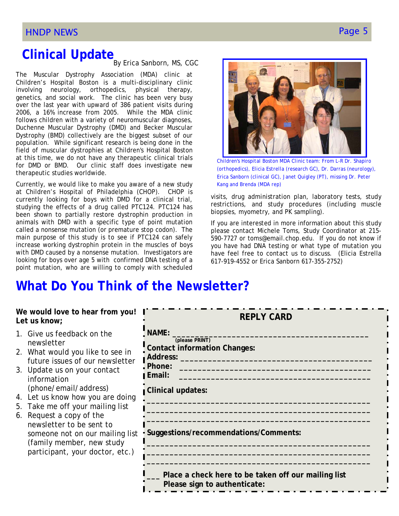# **Clinical Update**<br>By Erica Sanborn, MS, CGC

The Muscular Dystrophy Association (MDA) clinic at Children's Hospital Boston is a multi-disciplinary clinic involving neurology, orthopedics, physical therapy, genetics, and social work. The clinic has been very busy over the last year with upward of 386 patient visits during 2006, a 16% increase from 2005. While the MDA clinic follows children with a variety of neuromuscular diagnoses, Duchenne Muscular Dystrophy (DMD) and Becker Muscular Dystrophy (BMD) collectively are the biggest subset of our population. While significant research is being done in the field of muscular dystrophies at Children's Hospital Boston at this time, we do not have any therapeutic clinical trials for DMD or BMD. Our clinic staff does investigate new therapeutic studies worldwide.

Currently, we would like to make you aware of a new study at Children's Hospital of Philadelphia (CHOP). CHOP is currently looking for boys with DMD for a clinical trial, studying the effects of a drug called PTC124. PTC124 has been shown to partially restore dystrophin production in animals with DMD with a specific type of point mutation called a nonsense mutation (or premature stop codon). The main purpose of this study is to see if PTC124 can safely increase working dystrophin protein in the muscles of boys with DMD caused by a nonsense mutation. Investigators are looking for boys over age 5 with confirmed DNA testing of a point mutation, who are willing to comply with scheduled



*Children's Hospital Boston MDA Clinic team: From L-R Dr. Shapiro (orthopedics), Elicia Estrella (research GC), Dr. Darras (neurology), Erica Sanborn (clinical GC), Janet Quigley (PT), missing Dr. Peter Kang and Brenda (MDA rep)* 

visits, drug administration plan, laboratory tests, study restrictions, and study procedures (including muscle biopsies, myometry, and PK sampling).

If you are interested in more information about this study please contact Michele Toms, Study Coordinator at 215- 590-7727 or toms@email.chop.edu. If you do not know if you have had DNA testing or what type of mutation you have feel free to contact us to discuss. (Elicia Estrella 617-919-4552 or Erica Sanborn 617-355-2752)

## **What Do You Think of the Newsletter?**

| We would love to hear from you!<br>Let us know;                                                                                                                                                                                                                                                                                                                                                                            | <b>REPLY CARD</b>                                                                                                                                                              |
|----------------------------------------------------------------------------------------------------------------------------------------------------------------------------------------------------------------------------------------------------------------------------------------------------------------------------------------------------------------------------------------------------------------------------|--------------------------------------------------------------------------------------------------------------------------------------------------------------------------------|
| 1. Give us feedback on the<br>newsletter<br>2. What would you like to see in<br>future issues of our newsletter<br>3. Update us on your contact<br>information<br>(phone/email/address)<br>4. Let us know how you are doing<br>5. Take me off your mailing list<br>6. Request a copy of the<br>newsletter to be sent to<br>someone not on our mailing list<br>(family member, new study<br>participant, your doctor, etc.) | NAME:<br>(please PRINT)<br><b>Contact information Changes:</b><br>Address: ________<br>. Phone:<br>Email:<br><b>Clinical updates:</b><br>Suggestions/recommendations/Comments: |
|                                                                                                                                                                                                                                                                                                                                                                                                                            | Place a check here to be taken off our mailing list<br>Please sign to authenticate:                                                                                            |